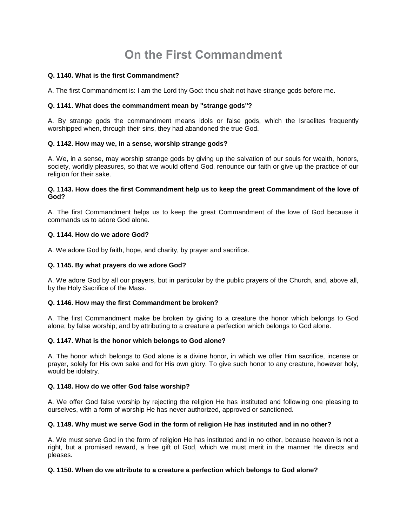# **On the First Commandment**

## **Q. 1140. What is the first Commandment?**

A. The first Commandment is: I am the Lord thy God: thou shalt not have strange gods before me.

## **Q. 1141. What does the commandment mean by "strange gods"?**

A. By strange gods the commandment means idols or false gods, which the Israelites frequently worshipped when, through their sins, they had abandoned the true God.

## **Q. 1142. How may we, in a sense, worship strange gods?**

A. We, in a sense, may worship strange gods by giving up the salvation of our souls for wealth, honors, society, worldly pleasures, so that we would offend God, renounce our faith or give up the practice of our religion for their sake.

#### **Q. 1143. How does the first Commandment help us to keep the great Commandment of the love of God?**

A. The first Commandment helps us to keep the great Commandment of the love of God because it commands us to adore God alone.

## **Q. 1144. How do we adore God?**

A. We adore God by faith, hope, and charity, by prayer and sacrifice.

#### **Q. 1145. By what prayers do we adore God?**

A. We adore God by all our prayers, but in particular by the public prayers of the Church, and, above all, by the Holy Sacrifice of the Mass.

#### **Q. 1146. How may the first Commandment be broken?**

A. The first Commandment make be broken by giving to a creature the honor which belongs to God alone; by false worship; and by attributing to a creature a perfection which belongs to God alone.

#### **Q. 1147. What is the honor which belongs to God alone?**

A. The honor which belongs to God alone is a divine honor, in which we offer Him sacrifice, incense or prayer, solely for His own sake and for His own glory. To give such honor to any creature, however holy, would be idolatry.

#### **Q. 1148. How do we offer God false worship?**

A. We offer God false worship by rejecting the religion He has instituted and following one pleasing to ourselves, with a form of worship He has never authorized, approved or sanctioned.

#### **Q. 1149. Why must we serve God in the form of religion He has instituted and in no other?**

A. We must serve God in the form of religion He has instituted and in no other, because heaven is not a right, but a promised reward, a free gift of God, which we must merit in the manner He directs and pleases.

# **Q. 1150. When do we attribute to a creature a perfection which belongs to God alone?**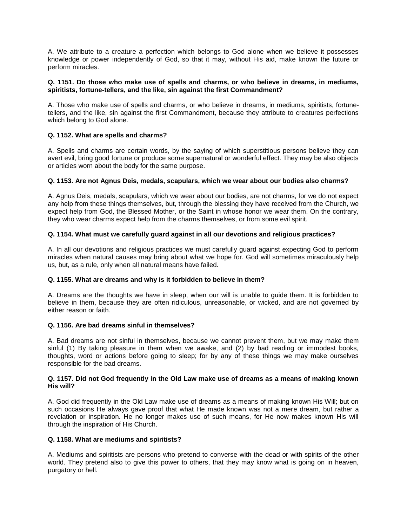A. We attribute to a creature a perfection which belongs to God alone when we believe it possesses knowledge or power independently of God, so that it may, without His aid, make known the future or perform miracles.

#### **Q. 1151. Do those who make use of spells and charms, or who believe in dreams, in mediums, spiritists, fortune-tellers, and the like, sin against the first Commandment?**

A. Those who make use of spells and charms, or who believe in dreams, in mediums, spiritists, fortunetellers, and the like, sin against the first Commandment, because they attribute to creatures perfections which belong to God alone.

## **Q. 1152. What are spells and charms?**

A. Spells and charms are certain words, by the saying of which superstitious persons believe they can avert evil, bring good fortune or produce some supernatural or wonderful effect. They may be also objects or articles worn about the body for the same purpose.

## **Q. 1153. Are not Agnus Deis, medals, scapulars, which we wear about our bodies also charms?**

A. Agnus Deis, medals, scapulars, which we wear about our bodies, are not charms, for we do not expect any help from these things themselves, but, through the blessing they have received from the Church, we expect help from God, the Blessed Mother, or the Saint in whose honor we wear them. On the contrary, they who wear charms expect help from the charms themselves, or from some evil spirit.

## **Q. 1154. What must we carefully guard against in all our devotions and religious practices?**

A. In all our devotions and religious practices we must carefully guard against expecting God to perform miracles when natural causes may bring about what we hope for. God will sometimes miraculously help us, but, as a rule, only when all natural means have failed.

#### **Q. 1155. What are dreams and why is it forbidden to believe in them?**

A. Dreams are the thoughts we have in sleep, when our will is unable to guide them. It is forbidden to believe in them, because they are often ridiculous, unreasonable, or wicked, and are not governed by either reason or faith

## **Q. 1156. Are bad dreams sinful in themselves?**

A. Bad dreams are not sinful in themselves, because we cannot prevent them, but we may make them sinful (1) By taking pleasure in them when we awake, and (2) by bad reading or immodest books, thoughts, word or actions before going to sleep; for by any of these things we may make ourselves responsible for the bad dreams.

#### **Q. 1157. Did not God frequently in the Old Law make use of dreams as a means of making known His will?**

A. God did frequently in the Old Law make use of dreams as a means of making known His Will; but on such occasions He always gave proof that what He made known was not a mere dream, but rather a revelation or inspiration. He no longer makes use of such means, for He now makes known His will through the inspiration of His Church.

#### **Q. 1158. What are mediums and spiritists?**

A. Mediums and spiritists are persons who pretend to converse with the dead or with spirits of the other world. They pretend also to give this power to others, that they may know what is going on in heaven, purgatory or hell.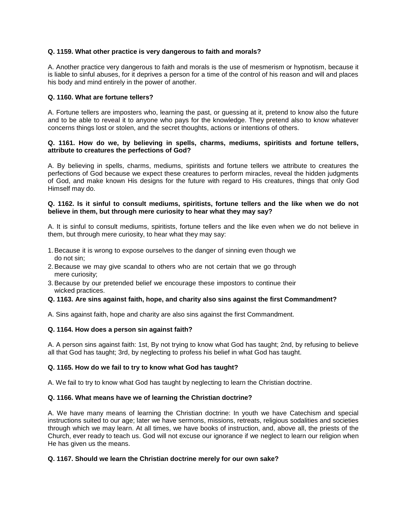## **Q. 1159. What other practice is very dangerous to faith and morals?**

A. Another practice very dangerous to faith and morals is the use of mesmerism or hypnotism, because it is liable to sinful abuses, for it deprives a person for a time of the control of his reason and will and places his body and mind entirely in the power of another.

## **Q. 1160. What are fortune tellers?**

A. Fortune tellers are imposters who, learning the past, or guessing at it, pretend to know also the future and to be able to reveal it to anyone who pays for the knowledge. They pretend also to know whatever concerns things lost or stolen, and the secret thoughts, actions or intentions of others.

#### **Q. 1161. How do we, by believing in spells, charms, mediums, spiritists and fortune tellers, attribute to creatures the perfections of God?**

A. By believing in spells, charms, mediums, spiritists and fortune tellers we attribute to creatures the perfections of God because we expect these creatures to perform miracles, reveal the hidden judgments of God, and make known His designs for the future with regard to His creatures, things that only God Himself may do.

#### **Q. 1162. Is it sinful to consult mediums, spiritists, fortune tellers and the like when we do not believe in them, but through mere curiosity to hear what they may say?**

A. It is sinful to consult mediums, spiritists, fortune tellers and the like even when we do not believe in them, but through mere curiosity, to hear what they may say:

- 1.Because it is wrong to expose ourselves to the danger of sinning even though we do not sin;
- 2.Because we may give scandal to others who are not certain that we go through mere curiosity;
- 3.Because by our pretended belief we encourage these impostors to continue their wicked practices.

#### **Q. 1163. Are sins against faith, hope, and charity also sins against the first Commandment?**

A. Sins against faith, hope and charity are also sins against the first Commandment.

#### **Q. 1164. How does a person sin against faith?**

A. A person sins against faith: 1st, By not trying to know what God has taught; 2nd, by refusing to believe all that God has taught; 3rd, by neglecting to profess his belief in what God has taught.

#### **Q. 1165. How do we fail to try to know what God has taught?**

A. We fail to try to know what God has taught by neglecting to learn the Christian doctrine.

#### **Q. 1166. What means have we of learning the Christian doctrine?**

A. We have many means of learning the Christian doctrine: In youth we have Catechism and special instructions suited to our age; later we have sermons, missions, retreats, religious sodalities and societies through which we may learn. At all times, we have books of instruction, and, above all, the priests of the Church, ever ready to teach us. God will not excuse our ignorance if we neglect to learn our religion when He has given us the means.

#### **Q. 1167. Should we learn the Christian doctrine merely for our own sake?**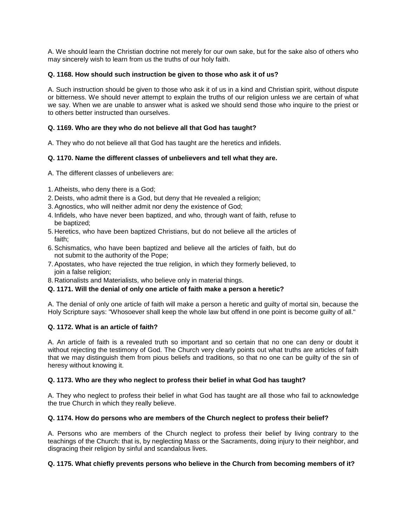A. We should learn the Christian doctrine not merely for our own sake, but for the sake also of others who may sincerely wish to learn from us the truths of our holy faith.

## **Q. 1168. How should such instruction be given to those who ask it of us?**

A. Such instruction should be given to those who ask it of us in a kind and Christian spirit, without dispute or bitterness. We should never attempt to explain the truths of our religion unless we are certain of what we say. When we are unable to answer what is asked we should send those who inquire to the priest or to others better instructed than ourselves.

## **Q. 1169. Who are they who do not believe all that God has taught?**

A. They who do not believe all that God has taught are the heretics and infidels.

## **Q. 1170. Name the different classes of unbelievers and tell what they are.**

A. The different classes of unbelievers are:

- 1.Atheists, who deny there is a God;
- 2. Deists, who admit there is a God, but deny that He revealed a religion;
- 3.Agnostics, who will neither admit nor deny the existence of God;
- 4. Infidels, who have never been baptized, and who, through want of faith, refuse to be baptized;
- 5. Heretics, who have been baptized Christians, but do not believe all the articles of faith;
- 6.Schismatics, who have been baptized and believe all the articles of faith, but do not submit to the authority of the Pope;
- 7.Apostates, who have rejected the true religion, in which they formerly believed, to join a false religion;
- 8. Rationalists and Materialists, who believe only in material things.

# **Q. 1171. Will the denial of only one article of faith make a person a heretic?**

A. The denial of only one article of faith will make a person a heretic and guilty of mortal sin, because the Holy Scripture says: "Whosoever shall keep the whole law but offend in one point is become guilty of all."

#### **Q. 1172. What is an article of faith?**

A. An article of faith is a revealed truth so important and so certain that no one can deny or doubt it without rejecting the testimony of God. The Church very clearly points out what truths are articles of faith that we may distinguish them from pious beliefs and traditions, so that no one can be guilty of the sin of heresy without knowing it.

#### **Q. 1173. Who are they who neglect to profess their belief in what God has taught?**

A. They who neglect to profess their belief in what God has taught are all those who fail to acknowledge the true Church in which they really believe.

#### **Q. 1174. How do persons who are members of the Church neglect to profess their belief?**

A. Persons who are members of the Church neglect to profess their belief by living contrary to the teachings of the Church: that is, by neglecting Mass or the Sacraments, doing injury to their neighbor, and disgracing their religion by sinful and scandalous lives.

#### **Q. 1175. What chiefly prevents persons who believe in the Church from becoming members of it?**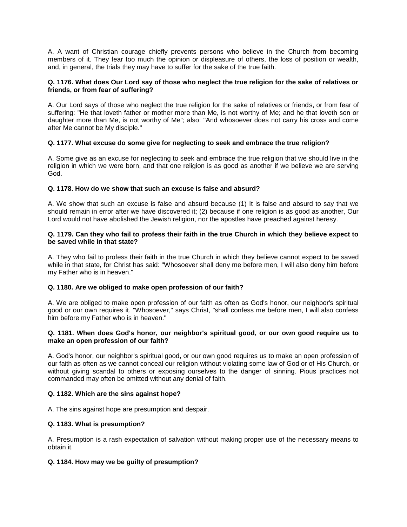A. A want of Christian courage chiefly prevents persons who believe in the Church from becoming members of it. They fear too much the opinion or displeasure of others, the loss of position or wealth, and, in general, the trials they may have to suffer for the sake of the true faith.

## **Q. 1176. What does Our Lord say of those who neglect the true religion for the sake of relatives or friends, or from fear of suffering?**

A. Our Lord says of those who neglect the true religion for the sake of relatives or friends, or from fear of suffering: "He that loveth father or mother more than Me, is not worthy of Me; and he that loveth son or daughter more than Me, is not worthy of Me"; also: "And whosoever does not carry his cross and come after Me cannot be My disciple."

## **Q. 1177. What excuse do some give for neglecting to seek and embrace the true religion?**

A. Some give as an excuse for neglecting to seek and embrace the true religion that we should live in the religion in which we were born, and that one religion is as good as another if we believe we are serving God.

## **Q. 1178. How do we show that such an excuse is false and absurd?**

A. We show that such an excuse is false and absurd because (1) It is false and absurd to say that we should remain in error after we have discovered it; (2) because if one religion is as good as another, Our Lord would not have abolished the Jewish religion, nor the apostles have preached against heresy.

#### **Q. 1179. Can they who fail to profess their faith in the true Church in which they believe expect to be saved while in that state?**

A. They who fail to profess their faith in the true Church in which they believe cannot expect to be saved while in that state, for Christ has said: "Whosoever shall deny me before men, I will also deny him before my Father who is in heaven."

#### **Q. 1180. Are we obliged to make open profession of our faith?**

A. We are obliged to make open profession of our faith as often as God's honor, our neighbor's spiritual good or our own requires it. "Whosoever," says Christ, "shall confess me before men, I will also confess him before my Father who is in heaven."

#### **Q. 1181. When does God's honor, our neighbor's spiritual good, or our own good require us to make an open profession of our faith?**

A. God's honor, our neighbor's spiritual good, or our own good requires us to make an open profession of our faith as often as we cannot conceal our religion without violating some law of God or of His Church, or without giving scandal to others or exposing ourselves to the danger of sinning. Pious practices not commanded may often be omitted without any denial of faith.

#### **Q. 1182. Which are the sins against hope?**

A. The sins against hope are presumption and despair.

#### **Q. 1183. What is presumption?**

A. Presumption is a rash expectation of salvation without making proper use of the necessary means to obtain it.

#### **Q. 1184. How may we be guilty of presumption?**